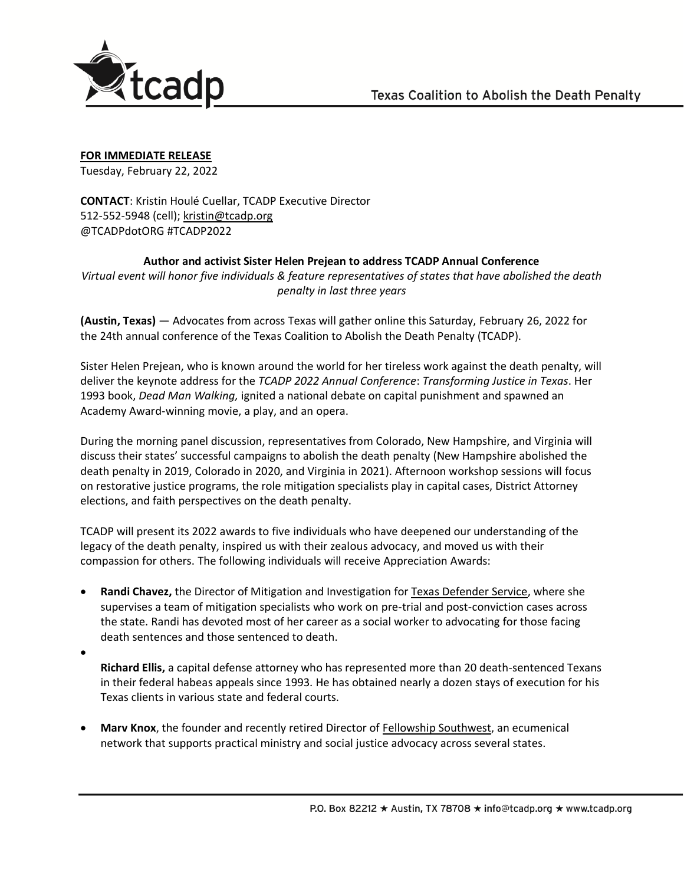

**FOR IMMEDIATE RELEASE**

Tuesday, February 22, 2022

**CONTACT**: Kristin Houlé Cuellar, TCADP Executive Director 512-552-5948 (cell); [kristin@tcadp.org](mailto:kristin@tcadp.org) @TCADPdotORG #TCADP2022

**Author and activist Sister Helen Prejean to address TCADP Annual Conference** 

*Virtual event will honor five individuals & feature representatives of states that have abolished the death penalty in last three years*

**(Austin, Texas)** — Advocates from across Texas will gather online this Saturday, February 26, 2022 for the 24th annual conference of the Texas Coalition to Abolish the Death Penalty (TCADP).

Sister Helen Prejean, who is known around the world for her tireless work against the death penalty, will deliver the keynote address for the *TCADP 2022 Annual Conference*: *Transforming Justice in Texas*. Her 1993 book, *Dead Man Walking,* ignited a national debate on capital punishment and spawned an Academy Award-winning movie, a play, and an opera.

During the morning panel discussion, representatives from Colorado, New Hampshire, and Virginia will discuss their states' successful campaigns to abolish the death penalty (New Hampshire abolished the death penalty in 2019, Colorado in 2020, and Virginia in 2021). Afternoon workshop sessions will focus on restorative justice programs, the role mitigation specialists play in capital cases, District Attorney elections, and faith perspectives on the death penalty.

TCADP will present its 2022 awards to five individuals who have deepened our understanding of the legacy of the death penalty, inspired us with their zealous advocacy, and moved us with their compassion for others. The following individuals will receive Appreciation Awards:

• **Randi Chavez,** the Director of Mitigation and Investigation for [Texas Defender Service,](https://www.texasdefender.org/) where she supervises a team of mitigation specialists who work on pre-trial and post-conviction cases across the state. Randi has devoted most of her career as a social worker to advocating for those facing death sentences and those sentenced to death.

•

**Richard Ellis,** a capital defense attorney who has represented more than 20 death-sentenced Texans in their federal habeas appeals since 1993. He has obtained nearly a dozen stays of execution for his Texas clients in various state and federal courts.

• **Marv Knox**, the founder and recently retired Director of [Fellowship Southwest,](https://fellowshipsouthwest.org/) an ecumenical network that supports practical ministry and social justice advocacy across several states.